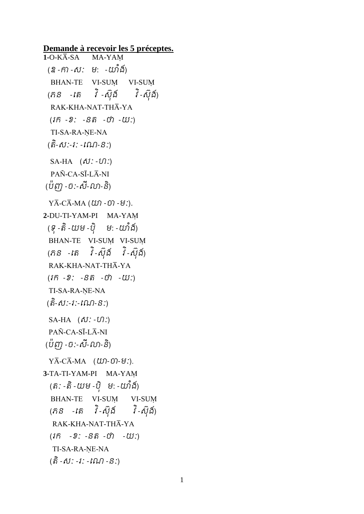**Demande à recevoir les 5 préceptes. 1-**O-K¾-SA MA-YAþ (ឧ -កា -ស: ម: -យាំង) BHAN-TE VI-SUM VI-SUM (ភ $s$  -តេ វិ-ស៊ុង៍ វិ-ស៊ុង៍) RAK-KHA-NAT-THĀ-YA  $(i\hat{n} - 2$ :  $-S\hat{n} - i\hat{n} - i\hat{u}$ : TI-SA-RA-NE-NA (តិ-សី:-វ: -ពណ-ន:) SA-HA  $(\delta \mathcal{V}: -\mathcal{V})$ :) PAÑ-CA-SĪ-LĀ-NI (បញ -ប:-ស-លា-ន)  $Y\overline{A}-C\overline{A}-MA$  ( $\omega$  $\cap$  - $\omega$ ). **2-**DU-TI-YAM-PI MA-YAþ (ទុ -តំ -យម -បុ ម: -យាង) BHAN-TE VI-SUM VI-SUM (ភ $S$  -វតិ វិ-ស៊ុំង៏ វិ-ស៊ុំង៍) RAK-KHA-NAT-THĀ-YA  $(1\hat{n} - 2)$ :  $-S\hat{n} - t\hat{n} - t\hat{n}$ : TI-SA-RA-NE-NA (តិ-សិ:-រ:-ណេ-ន:)  $SA-HA$   $(\delta \mathcal{V}: -\mathcal{U})$ :  $PAÑ-CA-SI-LĀ-NI$ (បញ -បៈ-ស-លា-ន)  $Y\overline{A}-C\overline{A}-MA$  (*យ*)-*ច*)-ម:). **3-**TA-TI-YAM-PI MA-YAþ (តិ: -តិ -យម -បុ ម: -យាង) BHAN-TE VI-SUM VI-SUM (ភ $S$  -រត វិ-ស៊ុំង៍ វិ-ស៊ុំង៍) RAK-KHA-NAT-THĀ-YA  $(1\hat{n} - 2: -S\hat{n} - \hat{U}) - U(1)$ TI-SA-RA-NE-NA (តិ -សី: -រ: -ររ*ប*ា -ន:)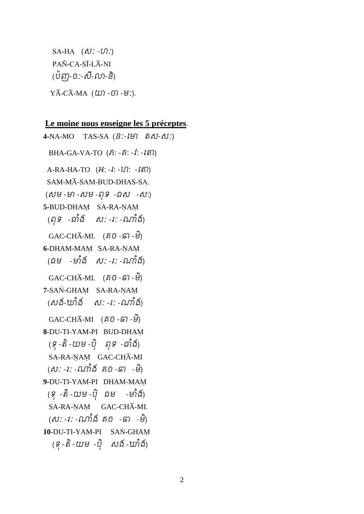SA-HA  $(\delta \mathcal{U} : -\mathcal{U})$ : PAÑ-CA-SĪ-LĀ-NI (ប៉ញ-ច:-សី-លា-និ)  $Y\overline{A}-C\overline{A}-MA$  ( $U\Omega$  -  $\Omega$  -  $H$ :).

## **Le moine nous enseigne les 5 préceptes**.

**4-**NA-MO TAS-SA (នៈ-តោ េស-សៈ) BHA-GA-VA-TO  $(\hat{n}$ : - $\hat{n}$ : - $\hat{i}$ : - $\hat{i}$ s) A-RA-HA-TO  $(H: -i: -U): -i$ តា) SAM-MĀ-SAM-BUD-DHAS-SA.  $($  សម -មា -សម -ពុទ -ជស -ស: **5-**BUD-DHAM SA-RA-NAM (ពុទ -ជាំង ស: -រ: -ណាំង៍)  $GAC\text{-CH}\overline{A}\text{-MI}.$  (គិបិ -ទ៊ា -មី) **6-DHAM-MAM SA-RA-NAM** (ធម -មាំង ស: -រ: -ណាំង)  $GAC\text{-CH}\bar{A}\text{-MI}.$  (គិបិ -្រ) -មី) **7-SAN-GHAM** SA-RA-NAM (សង៍-ឃាំង៍ ស: -រ: -ណាំង៍)  $GAC\text{-CH}\bar{A}\text{-MI}$  (គិបិ -ទ៊ា -មី) **8-**DU-TI-YAM-PI BUD-DHAþ (ទុ -តំ -យម -បុ ពុទ -ជាង) SA-RA-NAM GAC-CHA-MI (ស: -រ: -ណាង គច -ឆា -ម) **9-**DU-TI-YAM-PI DHAM-MAþ (ទូ -តំ -យម -បុ ជម -មាង) SA-RA-ŅAŅ GAC-CHĀ-MI. (សៈ -រៈ -ណងាំ គច -ឆា -មិ ) **10-**DU-TI-YAM-PI SAN-GHAM (ទុ -តិ -យម -ប៊ុ សង៍ -ឃាំង៍)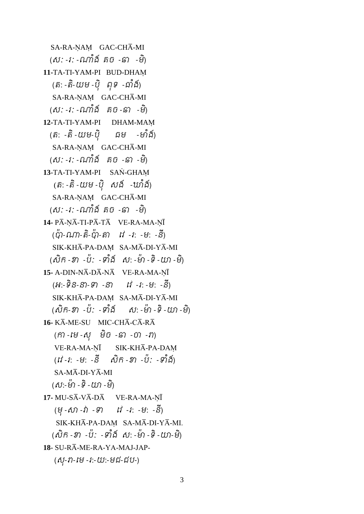SA-RA-NAM GAC-CHA-MI (សៈ -រៈ -ណងាំ គច -ឆា -មិ ) **11-**TA-TI-YAM-PI BUD-DHAþ (តៈ - តិ-យម -ប៊ុ ពុទ -ជាំង៍) SA-RA-ŅAŅ GAC-CHĀ-MI (ស: -រ: -ណាំង៍ គច -ឆា -មិ) **12-**TA-TI-YAM-PI DHAM-MAþ (តិ: -តិ -យម-បុ ជម -មាង) SA-RA-ŅAM GAC-CHĀ-MI (សៈ -រៈ -ណងាំ គច -ឆា -មិ ) **13-TA-TI-YAM-PI SAN-GHAM** (តិ: -តិ -យម -ប៊ុ សង៍ -ឃាំង៍) SA-RA-NAM GAC-CHA-MI (សៈ -រៈ -ណងាំ គច -ឆា -មិ ) **14-** PĀ-NĀ-TI-PĀ-TĀ VE-RA-MA-ŅĪ (ប៉ា-ណា-តិ-ប៉ា-តា វេ -រៈ -មៈ -នី) SIK-KHĀ-PA-DAM SA-MĀ-DI-YĀ-MI (សក៌ -ខា -ប៉: -ទាំង សំ: -មា -ទិ -យា -ម) 15- A-DIN-NA-DA-NA VE-RA-MA-ŅĪ (អ:-ទ $ិន-នា-ទា -នា ព -រ: -ម: -ន)$  $SIK-KH\overline{A}-PA-DAM$   $SA-M\overline{A}-DI-Y\overline{A}-MI$ (សក៌-ខា -ប: -ទាំង ស: -មា -ទិ -យា -ម) 16- KĀ-ME-SU MIC-CHĀ-CĀ-RĀ  $(\widehat{n})$  -បេ -សុ មិច -ឆា -ចា - $\eta$ ) VE-RA-MA-ŅĪ SIK-KHĀ-PA-DAM (វ1 -1: -ម: -ន សក -ខា -ប: -ទាង)  $SA-M\overline{A}-DI-Y\overline{A}-MI$ (ស៎:-ម៌ា -ទិ -យ៉ា -ម) **17-** MU-SA-VA-DA VE-RA-MA-NĪ (ម៊ុ -សា -វា -ទ តវ -រ: -ម: -នី ) SIK-KHĀ-PA-DAM SA-MĀ-DI-YĀ-MI. (សក៌ -ខា -ប៉: -ទាំង ស: -មា -ទិ -យា-ម) **<sup>18</sup>**- SU-R¾-ME-RA-YA-MAJ-JAP-  $($ សុ-វា-មេ -រ:-យ:-មជ-ជប- $)$